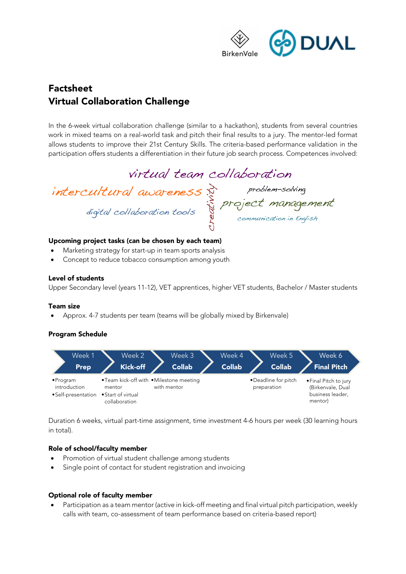

# Factsheet Virtual Collaboration Challenge

In the 6-week virtual collaboration challenge (similar to a hackathon), students from several countries work in mixed teams on a real-world task and pitch their final results to a jury. The mentor-led format allows students to improve their 21st Century Skills. The criteria-based performance validation in the participation offers students a differentiation in their future job search process. Competences involved:

virtual team collaboration

intercultural awareness<br>digital collaboration tools<br>digital collaboration tools

### Upcoming project tasks (can be chosen by each team)

- Marketing strategy for start-up in team sports analysis
- Concept to reduce tobacco consumption among youth

#### Level of students

Upper Secondary level (years 11-12), VET apprentices, higher VET students, Bachelor / Master students

#### Team size

• Approx. 4-7 students per team (teams will be globally mixed by Birkenvale)

### Program Schedule



Duration 6 weeks, virtual part-time assignment, time investment 4-6 hours per week (30 learning hours in total).

### Role of school/faculty member

- Promotion of virtual student challenge among students
- Single point of contact for student registration and invoicing

### Optional role of faculty member

• Participation as a team mentor (active in kick-off meeting and final virtual pitch participation, weekly calls with team, co-assessment of team performance based on criteria-based report)